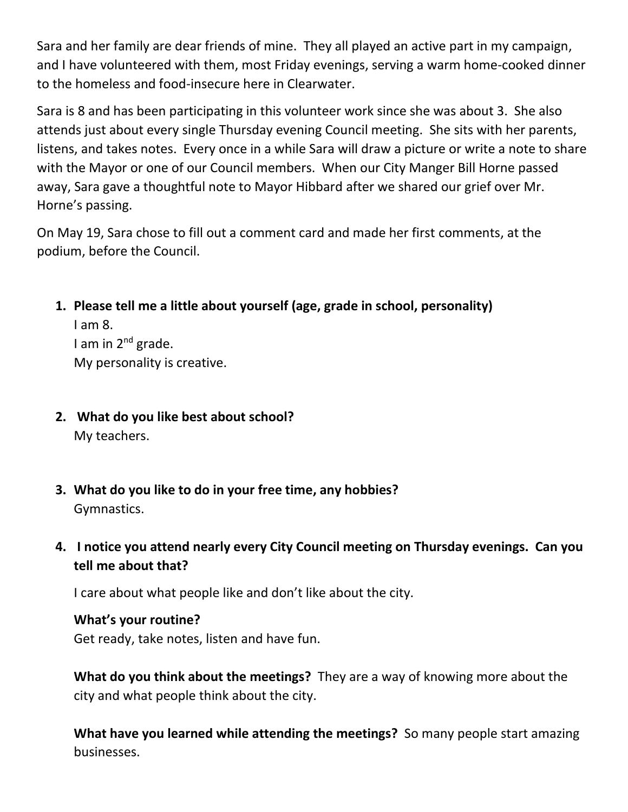Sara and her family are dear friends of mine. They all played an active part in my campaign, and I have volunteered with them, most Friday evenings, serving a warm home-cooked dinner to the homeless and food-insecure here in Clearwater.

Sara is 8 and has been participating in this volunteer work since she was about 3. She also attends just about every single Thursday evening Council meeting. She sits with her parents, listens, and takes notes. Every once in a while Sara will draw a picture or write a note to share with the Mayor or one of our Council members. When our City Manger Bill Horne passed away, Sara gave a thoughtful note to Mayor Hibbard after we shared our grief over Mr. Horne's passing.

On May 19, Sara chose to fill out a comment card and made her first comments, at the podium, before the Council.

**1. Please tell me a little about yourself (age, grade in school, personality)**

I am 8. I am in 2<sup>nd</sup> grade. My personality is creative.

- **2. What do you like best about school?** My teachers.
- **3. What do you like to do in your free time, any hobbies?** Gymnastics.
- **4. I notice you attend nearly every City Council meeting on Thursday evenings. Can you tell me about that?**

I care about what people like and don't like about the city.

## **What's your routine?**

Get ready, take notes, listen and have fun.

**What do you think about the meetings?** They are a way of knowing more about the city and what people think about the city.

**What have you learned while attending the meetings?** So many people start amazing businesses.